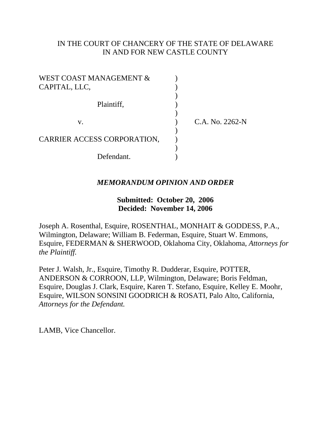# IN THE COURT OF CHANCERY OF THE STATE OF DELAWARE IN AND FOR NEW CASTLE COUNTY

| WEST COAST MANAGEMENT &     |                 |
|-----------------------------|-----------------|
| CAPITAL, LLC,               |                 |
|                             |                 |
| Plaintiff,                  |                 |
|                             |                 |
| V.                          | C.A. No. 2262-N |
|                             |                 |
| CARRIER ACCESS CORPORATION, |                 |
|                             |                 |
| Defendant.                  |                 |

# *MEMORANDUM OPINION AND ORDER*

# **Submitted: October 20, 2006 Decided: November 14, 2006**

Joseph A. Rosenthal, Esquire, ROSENTHAL, MONHAIT & GODDESS, P.A., Wilmington, Delaware; William B. Federman, Esquire, Stuart W. Emmons, Esquire, FEDERMAN & SHERWOOD, Oklahoma City, Oklahoma, *Attorneys for the Plaintiff.*

Peter J. Walsh, Jr., Esquire, Timothy R. Dudderar, Esquire, POTTER, ANDERSON & CORROON, LLP, Wilmington, Delaware; Boris Feldman, Esquire, Douglas J. Clark, Esquire, Karen T. Stefano, Esquire, Kelley E. Moohr, Esquire, WILSON SONSINI GOODRICH & ROSATI, Palo Alto, California, *Attorneys for the Defendant.*

LAMB, Vice Chancellor.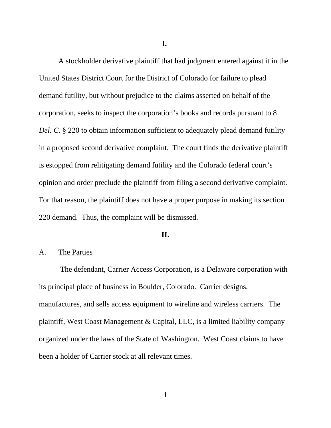**I.**

A stockholder derivative plaintiff that had judgment entered against it in the United States District Court for the District of Colorado for failure to plead demand futility, but without prejudice to the claims asserted on behalf of the corporation, seeks to inspect the corporation's books and records pursuant to 8 *Del. C.* § 220 to obtain information sufficient to adequately plead demand futility in a proposed second derivative complaint. The court finds the derivative plaintiff is estopped from relitigating demand futility and the Colorado federal court's opinion and order preclude the plaintiff from filing a second derivative complaint. For that reason, the plaintiff does not have a proper purpose in making its section 220 demand. Thus, the complaint will be dismissed.

#### **II.**

### A. The Parties

 The defendant, Carrier Access Corporation, is a Delaware corporation with its principal place of business in Boulder, Colorado. Carrier designs, manufactures, and sells access equipment to wireline and wireless carriers. The plaintiff, West Coast Management & Capital, LLC, is a limited liability company organized under the laws of the State of Washington. West Coast claims to have been a holder of Carrier stock at all relevant times.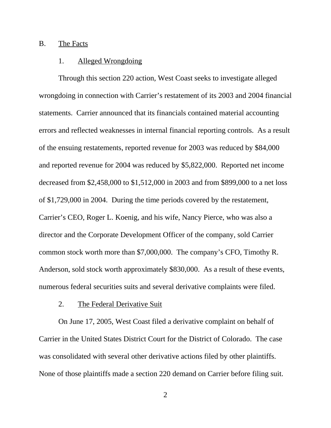#### B. The Facts

## 1. Alleged Wrongdoing

Through this section 220 action, West Coast seeks to investigate alleged wrongdoing in connection with Carrier's restatement of its 2003 and 2004 financial statements. Carrier announced that its financials contained material accounting errors and reflected weaknesses in internal financial reporting controls. As a result of the ensuing restatements, reported revenue for 2003 was reduced by \$84,000 and reported revenue for 2004 was reduced by \$5,822,000. Reported net income decreased from \$2,458,000 to \$1,512,000 in 2003 and from \$899,000 to a net loss of \$1,729,000 in 2004. During the time periods covered by the restatement, Carrier's CEO, Roger L. Koenig, and his wife, Nancy Pierce, who was also a director and the Corporate Development Officer of the company, sold Carrier common stock worth more than \$7,000,000. The company's CFO, Timothy R. Anderson, sold stock worth approximately \$830,000. As a result of these events, numerous federal securities suits and several derivative complaints were filed.

#### 2. The Federal Derivative Suit

On June 17, 2005, West Coast filed a derivative complaint on behalf of Carrier in the United States District Court for the District of Colorado. The case was consolidated with several other derivative actions filed by other plaintiffs. None of those plaintiffs made a section 220 demand on Carrier before filing suit.

2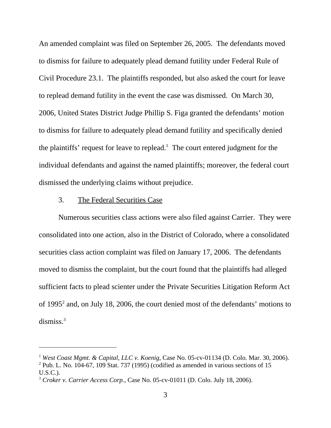An amended complaint was filed on September 26, 2005. The defendants moved to dismiss for failure to adequately plead demand futility under Federal Rule of Civil Procedure 23.1. The plaintiffs responded, but also asked the court for leave to replead demand futility in the event the case was dismissed. On March 30, 2006, United States District Judge Phillip S. Figa granted the defendants' motion to dismiss for failure to adequately plead demand futility and specifically denied the plaintiffs' request for leave to replead.<sup>1</sup> The court entered judgment for the individual defendants and against the named plaintiffs; moreover, the federal court dismissed the underlying claims without prejudice.

## 3. The Federal Securities Case

Numerous securities class actions were also filed against Carrier. They were consolidated into one action, also in the District of Colorado, where a consolidated securities class action complaint was filed on January 17, 2006. The defendants moved to dismiss the complaint, but the court found that the plaintiffs had alleged sufficient facts to plead scienter under the Private Securities Litigation Reform Act of 1995<sup>2</sup> and, on July 18, 2006, the court denied most of the defendants' motions to dismiss.<sup>3</sup>

<sup>&</sup>lt;sup>1</sup> West Coast Mgmt. & Capital, LLC v. Koenig, Case No. 05-cv-01134 (D. Colo. Mar. 30, 2006).  $2$  Pub. L. No. 104-67, 109 Stat. 737 (1995) (codified as amended in various sections of 15

U.S.C.).

<sup>3</sup> *Croker v. Carrier Access Corp.*, Case No. 05-cv-01011 (D. Colo. July 18, 2006).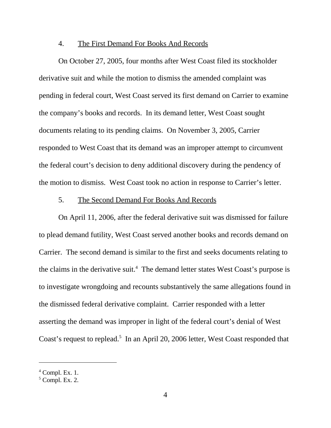#### 4. The First Demand For Books And Records

On October 27, 2005, four months after West Coast filed its stockholder derivative suit and while the motion to dismiss the amended complaint was pending in federal court, West Coast served its first demand on Carrier to examine the company's books and records. In its demand letter, West Coast sought documents relating to its pending claims. On November 3, 2005, Carrier responded to West Coast that its demand was an improper attempt to circumvent the federal court's decision to deny additional discovery during the pendency of the motion to dismiss. West Coast took no action in response to Carrier's letter.

## 5. The Second Demand For Books And Records

On April 11, 2006, after the federal derivative suit was dismissed for failure to plead demand futility, West Coast served another books and records demand on Carrier. The second demand is similar to the first and seeks documents relating to the claims in the derivative suit.<sup>4</sup> The demand letter states West Coast's purpose is to investigate wrongdoing and recounts substantively the same allegations found in the dismissed federal derivative complaint. Carrier responded with a letter asserting the demand was improper in light of the federal court's denial of West Coast's request to replead.<sup>5</sup> In an April 20, 2006 letter, West Coast responded that

 $<sup>4</sup>$  Compl. Ex. 1.</sup>

 $<sup>5</sup>$  Compl. Ex. 2.</sup>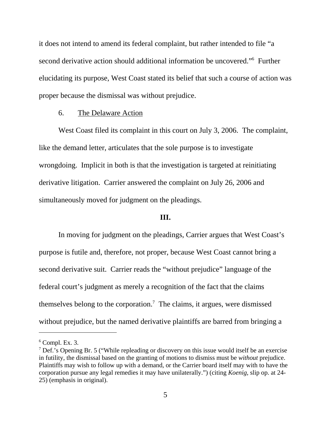it does not intend to amend its federal complaint, but rather intended to file "a second derivative action should additional information be uncovered."<sup>6</sup> Further elucidating its purpose, West Coast stated its belief that such a course of action was proper because the dismissal was without prejudice.

### 6. The Delaware Action

West Coast filed its complaint in this court on July 3, 2006. The complaint, like the demand letter, articulates that the sole purpose is to investigate wrongdoing. Implicit in both is that the investigation is targeted at reinitiating derivative litigation. Carrier answered the complaint on July 26, 2006 and simultaneously moved for judgment on the pleadings.

### **III.**

In moving for judgment on the pleadings, Carrier argues that West Coast's purpose is futile and, therefore, not proper, because West Coast cannot bring a second derivative suit. Carrier reads the "without prejudice" language of the federal court's judgment as merely a recognition of the fact that the claims themselves belong to the corporation.<sup>7</sup> The claims, it argues, were dismissed without prejudice, but the named derivative plaintiffs are barred from bringing a

 $6$  Compl. Ex. 3.

<sup>&</sup>lt;sup>7</sup> Def.'s Opening Br. 5 ("While repleading or discovery on this issue would itself be an exercise in futility, the dismissal based on the granting of motions to dismiss must be *without* prejudice. Plaintiffs may wish to follow up with a demand, or the Carrier board itself may with to have the corporation pursue any legal remedies it may have unilaterally.") (citing *Koenig*, slip op. at 24- 25) (emphasis in original).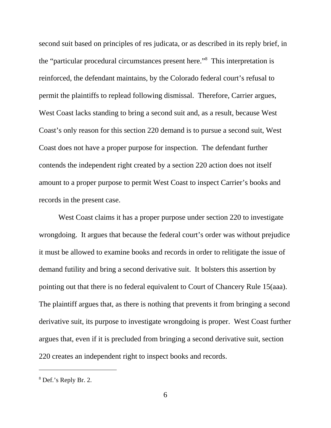second suit based on principles of res judicata, or as described in its reply brief, in the "particular procedural circumstances present here."8 This interpretation is reinforced, the defendant maintains, by the Colorado federal court's refusal to permit the plaintiffs to replead following dismissal. Therefore, Carrier argues, West Coast lacks standing to bring a second suit and, as a result, because West Coast's only reason for this section 220 demand is to pursue a second suit, West Coast does not have a proper purpose for inspection. The defendant further contends the independent right created by a section 220 action does not itself amount to a proper purpose to permit West Coast to inspect Carrier's books and records in the present case.

West Coast claims it has a proper purpose under section 220 to investigate wrongdoing. It argues that because the federal court's order was without prejudice it must be allowed to examine books and records in order to relitigate the issue of demand futility and bring a second derivative suit. It bolsters this assertion by pointing out that there is no federal equivalent to Court of Chancery Rule 15(aaa). The plaintiff argues that, as there is nothing that prevents it from bringing a second derivative suit, its purpose to investigate wrongdoing is proper. West Coast further argues that, even if it is precluded from bringing a second derivative suit, section 220 creates an independent right to inspect books and records.

<sup>8</sup> Def.'s Reply Br. 2.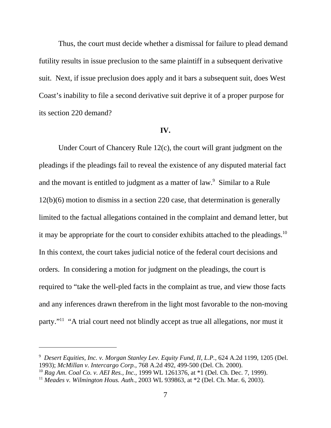Thus, the court must decide whether a dismissal for failure to plead demand futility results in issue preclusion to the same plaintiff in a subsequent derivative suit. Next, if issue preclusion does apply and it bars a subsequent suit, does West Coast's inability to file a second derivative suit deprive it of a proper purpose for its section 220 demand?

#### **IV.**

Under Court of Chancery Rule 12(c), the court will grant judgment on the pleadings if the pleadings fail to reveal the existence of any disputed material fact and the movant is entitled to judgment as a matter of law.<sup>9</sup> Similar to a Rule 12(b)(6) motion to dismiss in a section 220 case, that determination is generally limited to the factual allegations contained in the complaint and demand letter, but it may be appropriate for the court to consider exhibits attached to the pleadings.<sup>10</sup> In this context, the court takes judicial notice of the federal court decisions and orders. In considering a motion for judgment on the pleadings, the court is required to "take the well-pled facts in the complaint as true, and view those facts and any inferences drawn therefrom in the light most favorable to the non-moving party."11 "A trial court need not blindly accept as true all allegations, nor must it

<sup>9</sup>  *Desert Equities, Inc. v. Morgan Stanley Lev. Equity Fund, II, L.P.*, 624 A.2d 1199, 1205 (Del. 1993); *McMillan v. Intercargo Corp.*, 768 A.2d 492, 499-500 (Del. Ch. 2000).

<sup>10</sup> *Rag Am. Coal Co. v. AEI Res., Inc.*, 1999 WL 1261376, at \*1 (Del. Ch. Dec. 7, 1999).

<sup>11</sup> *Meades v. Wilmington Hous. Auth.*, 2003 WL 939863, at \*2 (Del. Ch. Mar. 6, 2003).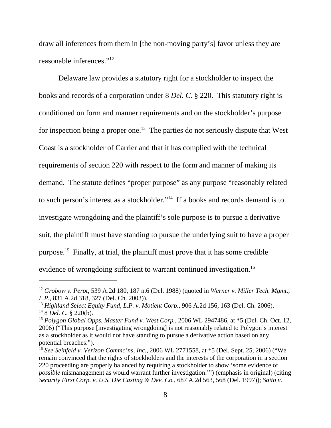draw all inferences from them in [the non-moving party's] favor unless they are reasonable inferences."12

Delaware law provides a statutory right for a stockholder to inspect the books and records of a corporation under 8 *Del. C.* § 220. This statutory right is conditioned on form and manner requirements and on the stockholder's purpose for inspection being a proper one.<sup>13</sup> The parties do not seriously dispute that West Coast is a stockholder of Carrier and that it has complied with the technical requirements of section 220 with respect to the form and manner of making its demand. The statute defines "proper purpose" as any purpose "reasonably related to such person's interest as a stockholder."14 If a books and records demand is to investigate wrongdoing and the plaintiff's sole purpose is to pursue a derivative suit, the plaintiff must have standing to pursue the underlying suit to have a proper purpose.15 Finally, at trial, the plaintiff must prove that it has some credible evidence of wrongdoing sufficient to warrant continued investigation.<sup>16</sup>

<sup>12</sup> *Grobow v. Perot*, 539 A.2d 180, 187 n.6 (Del. 1988) (quoted in *Werner v. Miller Tech. Mgmt., L.P.*, 831 A.2d 318, 327 (Del. Ch. 2003)).

<sup>&</sup>lt;sup>13</sup> Highland Select Equity Fund, L.P. v. Motient Corp., 906 A.2d 156, 163 (Del. Ch. 2006). 14 8 *Del. C.* § 220(b).

<sup>15</sup> *Polygon Global Opps. Master Fund v. West Corp.*, 2006 WL 2947486, at \*5 (Del. Ch. Oct. 12, 2006) ("This purpose [investigating wrongdoing] is not reasonably related to Polygon's interest as a stockholder as it would not have standing to pursue a derivative action based on any potential breaches.").

<sup>16</sup> *See Seinfeld v. Verizon Commc'ns, Inc.,* 2006 WL 2771558, at \*5 (Del. Sept. 25, 2006) ("We remain convinced that the rights of stockholders and the interests of the corporation in a section 220 proceeding are properly balanced by requiring a stockholder to show 'some evidence of *possible* mismanagement as would warrant further investigation.'") (emphasis in original) (citing *Security First Corp. v. U.S. Die Casting & Dev. Co.*, 687 A.2d 563, 568 (Del. 1997)); *Saito v.*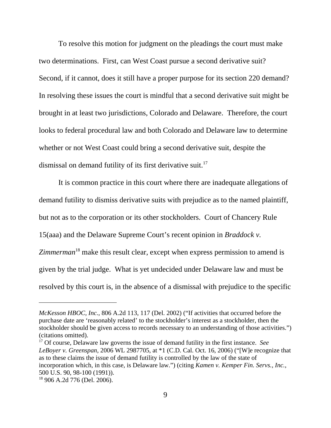To resolve this motion for judgment on the pleadings the court must make two determinations. First, can West Coast pursue a second derivative suit? Second, if it cannot, does it still have a proper purpose for its section 220 demand? In resolving these issues the court is mindful that a second derivative suit might be brought in at least two jurisdictions, Colorado and Delaware. Therefore, the court looks to federal procedural law and both Colorado and Delaware law to determine whether or not West Coast could bring a second derivative suit, despite the dismissal on demand futility of its first derivative suit.<sup>17</sup>

It is common practice in this court where there are inadequate allegations of demand futility to dismiss derivative suits with prejudice as to the named plaintiff, but not as to the corporation or its other stockholders. Court of Chancery Rule 15(aaa) and the Delaware Supreme Court's recent opinion in *Braddock v.* Zimmerman<sup>18</sup> make this result clear, except when express permission to amend is given by the trial judge. What is yet undecided under Delaware law and must be resolved by this court is, in the absence of a dismissal with prejudice to the specific

*McKesson HBOC, Inc.*, 806 A.2d 113, 117 (Del. 2002) ("If activities that occurred before the purchase date are 'reasonably related' to the stockholder's interest as a stockholder, then the stockholder should be given access to records necessary to an understanding of those activities.") (citations omitted).

<sup>17</sup> Of course, Delaware law governs the issue of demand futility in the first instance. *See LeBoyer v. Greenspan*, 2006 WL 2987705, at \*1 (C.D. Cal. Oct. 16, 2006) ("[W]e recognize that as to these claims the issue of demand futility is controlled by the law of the state of incorporation which, in this case, is Delaware law.") (citing *Kamen v. Kemper Fin. Servs., Inc.*, 500 U.S. 90, 98-100 (1991)).

<sup>18 906</sup> A.2d 776 (Del. 2006).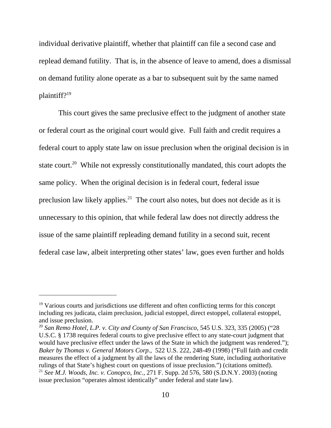individual derivative plaintiff, whether that plaintiff can file a second case and replead demand futility. That is, in the absence of leave to amend, does a dismissal on demand futility alone operate as a bar to subsequent suit by the same named plaintiff?19

This court gives the same preclusive effect to the judgment of another state or federal court as the original court would give. Full faith and credit requires a federal court to apply state law on issue preclusion when the original decision is in state court.<sup>20</sup> While not expressly constitutionally mandated, this court adopts the same policy. When the original decision is in federal court, federal issue preclusion law likely applies.<sup>21</sup> The court also notes, but does not decide as it is unnecessary to this opinion, that while federal law does not directly address the issue of the same plaintiff repleading demand futility in a second suit, recent federal case law, albeit interpreting other states' law, goes even further and holds

<sup>&</sup>lt;sup>19</sup> Various courts and jurisdictions use different and often conflicting terms for this concept including res judicata, claim preclusion, judicial estoppel, direct estoppel, collateral estoppel, and issue preclusion.

<sup>&</sup>lt;sup>20</sup> San Remo Hotel, L.P. v. City and County of San Francisco, 545 U.S. 323, 335 (2005) ("28 U.S.C. § 1738 requires federal courts to give preclusive effect to any state-court judgment that would have preclusive effect under the laws of the State in which the judgment was rendered."); *Baker by Thomas v. General Motors Corp.*, 522 U.S. 222, 248-49 (1998) ("Full faith and credit measures the effect of a judgment by all the laws of the rendering State, including authoritative rulings of that State's highest court on questions of issue preclusion.") (citations omitted). <sup>21</sup> *See M.J. Woods, Inc. v. Conopco, Inc.*, 271 F. Supp. 2d 576, 580 (S.D.N.Y. 2003) (noting issue preclusion "operates almost identically" under federal and state law).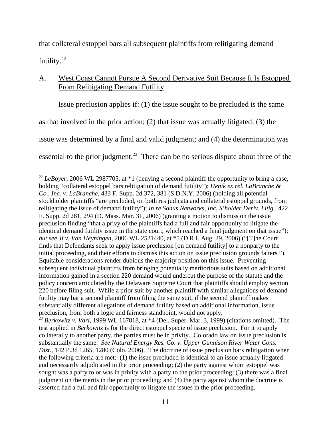that collateral estoppel bars all subsequent plaintiffs from relitigating demand futility.<sup>22</sup>

# A. West Coast Cannot Pursue A Second Derivative Suit Because It Is Estopped From Relitigating Demand Futility

Issue preclusion applies if: (1) the issue sought to be precluded is the same as that involved in the prior action; (2) that issue was actually litigated; (3) the issue was determined by a final and valid judgment; and (4) the determination was essential to the prior judgment.<sup>23</sup> There can be no serious dispute about three of the

test applied in *Berkowitz* is for the direct estoppel specie of issue preclusion. For it to apply collaterally to another party, the parties must be in privity. Colorado law on issue preclusion is substantially the same. *See Natural Energy Res. Co. v. Upper Gunnison River Water Cons. Dist.*, 142 P.3d 1265, 1280 (Colo. 2006). The doctrine of issue preclusion bars relitigation when the following criteria are met: (1) the issue precluded is identical to an issue actually litigated and necessarily adjudicated in the prior proceeding; (2) the party against whom estoppel was sought was a party to or was in privity with a party to the prior proceeding; (3) there was a final judgment on the merits in the prior proceeding; and (4) the party against whom the doctrine is asserted had a full and fair opportunity to litigate the issues in the prior proceeding.

<sup>&</sup>lt;sup>22</sup> *LeBoyer*, 2006 WL 2987705, at \*1 (denying a second plaintiff the opportunity to bring a case, holding "collateral estoppel bars relitigation of demand futility"); *Henik ex rel. LaBranche & Co., Inc. v. LaBranche,* 433 F. Supp. 2d 372, 381 (S.D.N.Y. 2006) (holding all potential stockholder plaintiffs "are precluded, on both res judicata and collateral estoppel grounds, from relitigating the issue of demand futility"); *In re Sonus Networks, Inc. S'holder Deriv. Litig.*, 422 F. Supp. 2d 281, 294 (D. Mass. Mar. 31, 2006) (granting a motion to dismiss on the issue preclusion finding "that a privy of the plaintiffs had a full and fair opportunity to litigate the identical demand futility issue in the state court, which reached a final judgment on that issue"); *but see Ji v. Van Heyningen*, 2006 WL 2521440, at \*5 (D.R.I. Aug. 29, 2006) ("[T]he Court finds that Defendants seek to apply issue preclusion [on demand futility] to a nonparty to the initial proceeding, and their efforts to dismiss this action on issue preclusion grounds falters."). Equitable considerations render dubious the majority position on this issue. Preventing subsequent individual plaintiffs from bringing potentially meritorious suits based on additional information gained in a section 220 demand would undercut the purpose of the statute and the policy concern articulated by the Delaware Supreme Court that plaintiffs should employ section 220 before filing suit. While a prior suit by another plaintiff with similar allegations of demand futility may bar a second plaintiff from filing the same suit, if the second plaintiff makes substantially different allegations of demand futility based on additional information, issue preclusion, from both a logic and fairness standpoint, would not apply. <sup>23</sup> Berkowitz v. Vari, 1999 WL 167818, at \*4 (Del. Super. Mar. 3, 1999) (citations omitted). The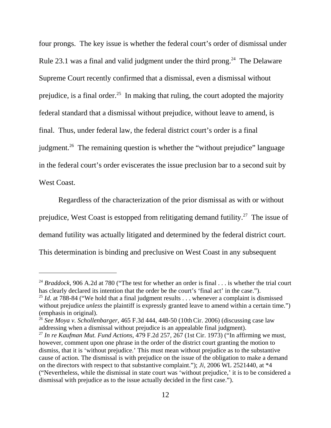four prongs. The key issue is whether the federal court's order of dismissal under Rule 23.1 was a final and valid judgment under the third prong.<sup>24</sup> The Delaware Supreme Court recently confirmed that a dismissal, even a dismissal without prejudice, is a final order.<sup>25</sup> In making that ruling, the court adopted the majority federal standard that a dismissal without prejudice, without leave to amend, is final. Thus, under federal law, the federal district court's order is a final judgment.<sup>26</sup> The remaining question is whether the "without prejudice" language in the federal court's order eviscerates the issue preclusion bar to a second suit by West Coast.

Regardless of the characterization of the prior dismissal as with or without prejudice, West Coast is estopped from relitigating demand futility.<sup>27</sup> The issue of demand futility was actually litigated and determined by the federal district court. This determination is binding and preclusive on West Coast in any subsequent

<sup>&</sup>lt;sup>24</sup> *Braddock*, 906 A.2d at 780 ("The test for whether an order is final  $\ldots$  is whether the trial court has clearly declared its intention that the order be the court's 'final act' in the case.").

<sup>&</sup>lt;sup>25</sup> *Id.* at 788-84 ("We hold that a final judgment results  $\ldots$  whenever a complaint is dismissed without prejudice *unless* the plaintiff is expressly granted leave to amend within a certain time.") (emphasis in original).

<sup>26</sup> *See Moya v. Schollenbarger*, 465 F.3d 444, 448-50 (10thCir. 2006) (discussing case law addressing when a dismissal without prejudice is an appealable final judgment).

<sup>27</sup> *In re Kaufman Mut. Fund Actions*, 479 F.2d 257, 267 (1st Cir. 1973) ("In affirming we must, however, comment upon one phrase in the order of the district court granting the motion to dismiss, that it is 'without prejudice.' This must mean without prejudice as to the substantive cause of action. The dismissal is with prejudice on the issue of the obligation to make a demand on the directors with respect to that substantive complaint."); *Ji*, 2006 WL 2521440, at \*4 ("Nevertheless, while the dismissal in state court was 'without prejudice,' it is to be considered a dismissal with prejudice as to the issue actually decided in the first case.").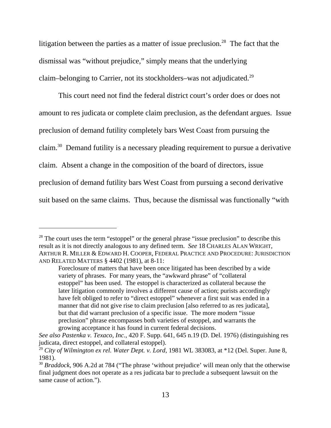litigation between the parties as a matter of issue preclusion.<sup>28</sup> The fact that the dismissal was "without prejudice," simply means that the underlying claim–belonging to Carrier, not its stockholders–was not adjudicated.29

This court need not find the federal district court's order does or does not amount to res judicata or complete claim preclusion, as the defendant argues. Issue preclusion of demand futility completely bars West Coast from pursuing the claim.30 Demand futility is a necessary pleading requirement to pursue a derivative claim. Absent a change in the composition of the board of directors, issue preclusion of demand futility bars West Coast from pursuing a second derivative suit based on the same claims. Thus, because the dismissal was functionally "with

 $28$  The court uses the term "estoppel" or the general phrase "issue preclusion" to describe this result as it is not directly analogous to any defined term. *See* 18 CHARLES ALAN WRIGHT, ARTHUR R. MILLER & EDWARD H. COOPER, FEDERAL PRACTICE AND PROCEDURE: JURISDICTION AND RELATED MATTERS § 4402 (1981), at 8-11:

Foreclosure of matters that have been once litigated has been described by a wide variety of phrases. For many years, the "awkward phrase" of "collateral estoppel" has been used. The estoppel is characterized as collateral because the later litigation commonly involves a different cause of action; purists accordingly have felt obliged to refer to "direct estoppel" whenever a first suit was ended in a manner that did not give rise to claim preclusion [also referred to as res judicata], but that did warrant preclusion of a specific issue. The more modern "issue preclusion" phrase encompasses both varieties of estoppel, and warrants the growing acceptance it has found in current federal decisions.

*See also Pastenka v. Texaco, Inc.*, 420 F. Supp. 641, 645 n.19 (D. Del. 1976) (distinguishing res judicata, direct estoppel, and collateral estoppel).

<sup>&</sup>lt;sup>29</sup> City of Wilmington ex rel. Water Dept. v. Lord, 1981 WL 383083, at \*12 (Del. Super. June 8, 1981).

<sup>&</sup>lt;sup>30</sup> *Braddock*, 906 A.2d at 784 ("The phrase 'without prejudice' will mean only that the otherwise final judgment does not operate as a res judicata bar to preclude a subsequent lawsuit on the same cause of action.").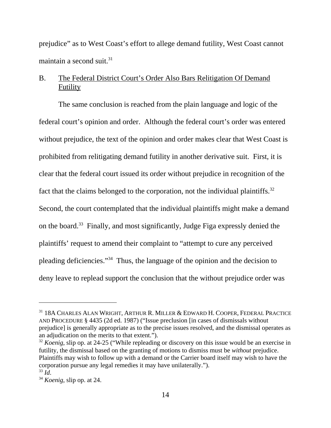prejudice" as to West Coast's effort to allege demand futility, West Coast cannot maintain a second suit. $31$ 

# B. The Federal District Court's Order Also Bars Relitigation Of Demand Futility

The same conclusion is reached from the plain language and logic of the federal court's opinion and order. Although the federal court's order was entered without prejudice, the text of the opinion and order makes clear that West Coast is prohibited from relitigating demand futility in another derivative suit. First, it is clear that the federal court issued its order without prejudice in recognition of the fact that the claims belonged to the corporation, not the individual plaintiffs.<sup>32</sup> Second, the court contemplated that the individual plaintiffs might make a demand on the board.<sup>33</sup> Finally, and most significantly, Judge Figa expressly denied the plaintiffs' request to amend their complaint to "attempt to cure any perceived pleading deficiencies."34 Thus, the language of the opinion and the decision to deny leave to replead support the conclusion that the without prejudice order was

<sup>&</sup>lt;sup>31</sup> 18A CHARLES ALAN WRIGHT, ARTHUR R. MILLER & EDWARD H. COOPER, FEDERAL PRACTICE AND PROCEDURE § 4435 (2d ed. 1987) ("Issue preclusion [in cases of dismissals without prejudice] is generally appropriate as to the precise issues resolved, and the dismissal operates as an adjudication on the merits to that extent.").

<sup>&</sup>lt;sup>32</sup> *Koenig*, slip op. at 24-25 ("While repleading or discovery on this issue would be an exercise in futility, the dismissal based on the granting of motions to dismiss must be *without* prejudice. Plaintiffs may wish to follow up with a demand or the Carrier board itself may wish to have the corporation pursue any legal remedies it may have unilaterally.").<br> $^{33}$  *Id.* 

<sup>33</sup> *Id*. 34 *Koenig*, slip op. at 24.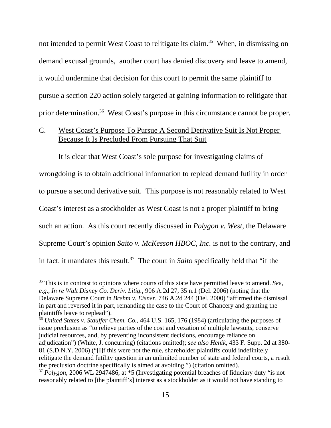not intended to permit West Coast to relitigate its claim.<sup>35</sup> When, in dismissing on demand excusal grounds, another court has denied discovery and leave to amend, it would undermine that decision for this court to permit the same plaintiff to pursue a section 220 action solely targeted at gaining information to relitigate that prior determination.36 West Coast's purpose in this circumstance cannot be proper.

# C. West Coast's Purpose To Pursue A Second Derivative Suit Is Not Proper Because It Is Precluded From Pursuing That Suit

It is clear that West Coast's sole purpose for investigating claims of wrongdoing is to obtain additional information to replead demand futility in order to pursue a second derivative suit. This purpose is not reasonably related to West Coast's interest as a stockholder as West Coast is not a proper plaintiff to bring such an action. As this court recently discussed in *Polygon v. West*, the Delaware Supreme Court's opinion *Saito v. McKesson HBOC, Inc.* is not to the contrary, and in fact, it mandates this result.37 The court in *Saito* specifically held that "if the

<sup>35</sup> This is in contrast to opinions where courts of this state have permitted leave to amend. *See, e.g., In re Walt Disney Co. Deriv. Litig.*, 906 A.2d 27, 35 n.1 (Del. 2006) (noting that the Delaware Supreme Court in *Brehm v. Eisner*, 746 A.2d 244 (Del. 2000) "affirmed the dismissal in part and reversed it in part, remanding the case to the Court of Chancery and granting the plaintiffs leave to replead").

<sup>36</sup> *United States v. Stauffer Chem. Co.*, 464 U.S. 165, 176 (1984) (articulating the purposes of issue preclusion as "to relieve parties of the cost and vexation of multiple lawsuits, conserve judicial resources, and, by preventing inconsistent decisions, encourage reliance on adjudication") (White, J. concurring) (citations omitted); *see also Henik*, 433 F. Supp. 2d at 380- 81 (S.D.N.Y. 2006) ("[I]f this were not the rule, shareholder plaintiffs could indefinitely relitigate the demand futility question in an unlimited number of state and federal courts, a result the preclusion doctrine specifically is aimed at avoiding.") (citation omitted).

<sup>37</sup> *Polygon*, 2006 WL 2947486, at \*5 (Investigating potential breaches of fiduciary duty "is not reasonably related to [the plaintiff's] interest as a stockholder as it would not have standing to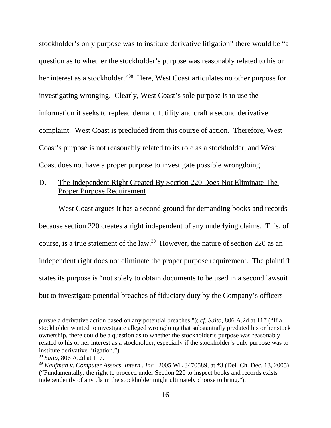stockholder's only purpose was to institute derivative litigation" there would be "a question as to whether the stockholder's purpose was reasonably related to his or her interest as a stockholder."<sup>38</sup> Here, West Coast articulates no other purpose for investigating wronging. Clearly, West Coast's sole purpose is to use the information it seeks to replead demand futility and craft a second derivative complaint. West Coast is precluded from this course of action. Therefore, West Coast's purpose is not reasonably related to its role as a stockholder, and West Coast does not have a proper purpose to investigate possible wrongdoing.

# D. The Independent Right Created By Section 220 Does Not Eliminate The Proper Purpose Requirement

West Coast argues it has a second ground for demanding books and records because section 220 creates a right independent of any underlying claims. This, of course, is a true statement of the law.<sup>39</sup> However, the nature of section 220 as an independent right does not eliminate the proper purpose requirement. The plaintiff states its purpose is "not solely to obtain documents to be used in a second lawsuit but to investigate potential breaches of fiduciary duty by the Company's officers

pursue a derivative action based on any potential breaches."); *cf. Saito,* 806 A.2d at 117 ("If a stockholder wanted to investigate alleged wrongdoing that substantially predated his or her stock ownership, there could be a question as to whether the stockholder's purpose was reasonably related to his or her interest as a stockholder, especially if the stockholder's only purpose was to institute derivative litigation.").

<sup>38</sup> *Saito*, 806 A.2d at 117.

<sup>39</sup> *Kaufman v. Computer Assocs. Intern., Inc.*, 2005 WL 3470589, at \*3 (Del. Ch. Dec. 13, 2005) ("Fundamentally, the right to proceed under Section 220 to inspect books and records exists independently of any claim the stockholder might ultimately choose to bring.").